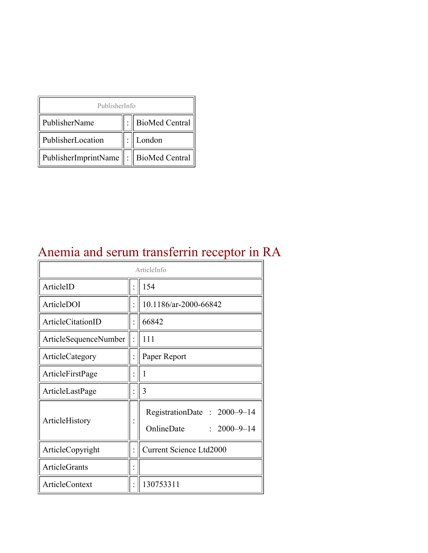| PublisherInfo                              |  |                  |  |  |
|--------------------------------------------|--|------------------|--|--|
| PublisherName                              |  | : BioMed Central |  |  |
| PublisherLocation                          |  | London           |  |  |
| PublisherImprintName   :    BioMed Central |  |                  |  |  |

#### Anemia and serum transferrin receptor in RA

| ArticleInfo           |  |                                                                |
|-----------------------|--|----------------------------------------------------------------|
| ArticleID             |  | 154                                                            |
| ArticleDOI            |  | 10.1186/ar-2000-66842                                          |
| ArticleCitationID     |  | 66842                                                          |
| ArticleSequenceNumber |  | 111                                                            |
| ArticleCategory       |  | Paper Report                                                   |
| ArticleFirstPage      |  | 1                                                              |
| ArticleLastPage       |  | 3                                                              |
| ArticleHistory        |  | RegistrationDate: 2000-9-14<br>OnlineDate<br>$: 2000 - 9 - 14$ |
| ArticleCopyright      |  | <b>Current Science Ltd2000</b>                                 |
| <b>ArticleGrants</b>  |  |                                                                |
| <b>ArticleContext</b> |  | 130753311                                                      |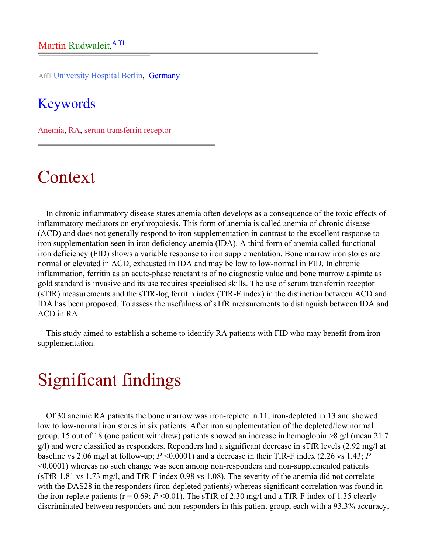Aff1 University Hospital Berlin, Germany

#### Keywords

Anemia, RA, serum transferrin receptor

## Context

In chronic inflammatory disease states anemia often develops as a consequence of the toxic effects of inflammatory mediators on erythropoiesis. This form of anemia is called anemia of chronic disease (ACD) and does not generally respond to iron supplementation in contrast to the excellent response to iron supplementation seen in iron deficiency anemia (IDA). A third form of anemia called functional iron deficiency (FID) shows a variable response to iron supplementation. Bone marrow iron stores are normal or elevated in ACD, exhausted in IDA and may be low to low-normal in FID. In chronic inflammation, ferritin as an acute-phase reactant is of no diagnostic value and bone marrow aspirate as gold standard is invasive and its use requires specialised skills. The use of serum transferrin receptor (sTfR) measurements and the sTfR-log ferritin index (TfR-F index) in the distinction between ACD and IDA has been proposed. To assess the usefulness of sTfR measurements to distinguish between IDA and ACD in RA.

This study aimed to establish a scheme to identify RA patients with FID who may benefit from iron supplementation.

## Significant findings

Of 30 anemic RA patients the bone marrow was iron-replete in 11, iron-depleted in 13 and showed low to low-normal iron stores in six patients. After iron supplementation of the depleted/low normal group, 15 out of 18 (one patient withdrew) patients showed an increase in hemoglobin >8 g/l (mean 21.7 g/l) and were classified as responders. Reponders had a significant decrease in sTfR levels (2.92 mg/l at baseline vs 2.06 mg/l at follow-up; *P* <0.0001) and a decrease in their TfR-F index (2.26 vs 1.43; *P* <0.0001) whereas no such change was seen among non-responders and non-supplemented patients (sTfR 1.81 vs 1.73 mg/l, and TfR-F index 0.98 vs 1.08). The severity of the anemia did not correlate with the DAS28 in the responders (iron-depleted patients) whereas significant correlation was found in the iron-replete patients ( $r = 0.69$ ;  $P \le 0.01$ ). The sTfR of 2.30 mg/l and a TfR-F index of 1.35 clearly discriminated between responders and non-responders in this patient group, each with a 93.3% accuracy.